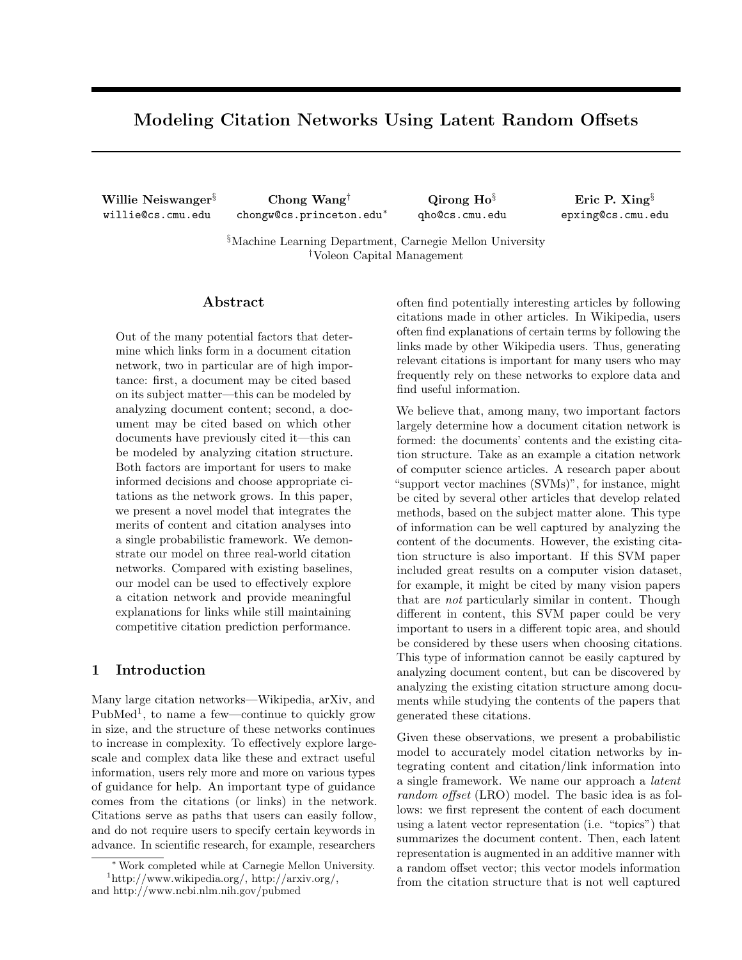# Modeling Citation Networks Using Latent Random Offsets

Willie Neiswanger§ willie@cs.cmu.edu

Chong Wang† chongw@cs.princeton.edu<sup>∗</sup>

Qirong Ho§ qho@cs.cmu.edu

Eric P. Xing§ epxing@cs.cmu.edu

§Machine Learning Department, Carnegie Mellon University †Voleon Capital Management

#### Abstract

Out of the many potential factors that determine which links form in a document citation network, two in particular are of high importance: first, a document may be cited based on its subject matter—this can be modeled by analyzing document content; second, a document may be cited based on which other documents have previously cited it—this can be modeled by analyzing citation structure. Both factors are important for users to make informed decisions and choose appropriate citations as the network grows. In this paper, we present a novel model that integrates the merits of content and citation analyses into a single probabilistic framework. We demonstrate our model on three real-world citation networks. Compared with existing baselines, our model can be used to effectively explore a citation network and provide meaningful explanations for links while still maintaining competitive citation prediction performance.

### 1 Introduction

Many large citation networks—Wikipedia, arXiv, and PubMed<sup>1</sup>, to name a few—continue to quickly grow in size, and the structure of these networks continues to increase in complexity. To effectively explore largescale and complex data like these and extract useful information, users rely more and more on various types of guidance for help. An important type of guidance comes from the citations (or links) in the network. Citations serve as paths that users can easily follow, and do not require users to specify certain keywords in advance. In scientific research, for example, researchers

often find potentially interesting articles by following citations made in other articles. In Wikipedia, users often find explanations of certain terms by following the links made by other Wikipedia users. Thus, generating relevant citations is important for many users who may frequently rely on these networks to explore data and find useful information.

We believe that, among many, two important factors largely determine how a document citation network is formed: the documents' contents and the existing citation structure. Take as an example a citation network of computer science articles. A research paper about "support vector machines (SVMs)", for instance, might be cited by several other articles that develop related methods, based on the subject matter alone. This type of information can be well captured by analyzing the content of the documents. However, the existing citation structure is also important. If this SVM paper included great results on a computer vision dataset, for example, it might be cited by many vision papers that are not particularly similar in content. Though different in content, this SVM paper could be very important to users in a different topic area, and should be considered by these users when choosing citations. This type of information cannot be easily captured by analyzing document content, but can be discovered by analyzing the existing citation structure among documents while studying the contents of the papers that generated these citations.

Given these observations, we present a probabilistic model to accurately model citation networks by integrating content and citation/link information into a single framework. We name our approach a latent random offset (LRO) model. The basic idea is as follows: we first represent the content of each document using a latent vector representation (i.e. "topics") that summarizes the document content. Then, each latent representation is augmented in an additive manner with a random offset vector; this vector models information from the citation structure that is not well captured

<sup>∗</sup> Work completed while at Carnegie Mellon University. <sup>1</sup>http://www.wikipedia.org/, http://arxiv.org/, and http://www.ncbi.nlm.nih.gov/pubmed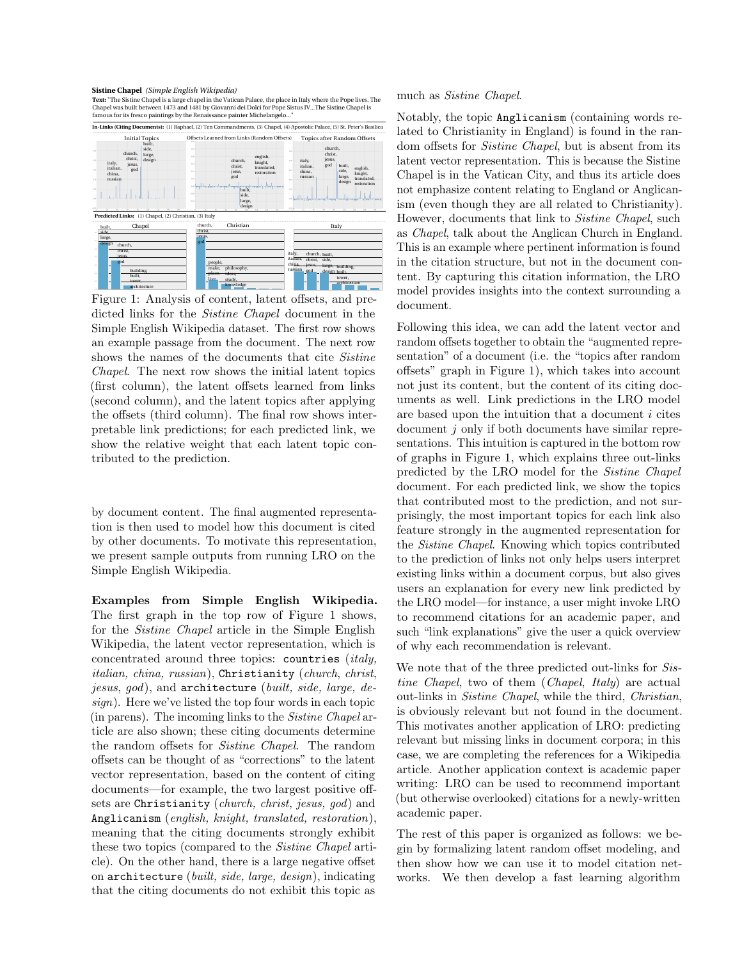#### Sistine Chapel (Simple English Wikipedia)

Text: "The Sistine Chapel is a large chapel in the Vatican Palace, the place in Italy where the Pope lives. The Chapel was built between 1473 and 1481 by Giovanni dei Dolci for Pope Sistus IV...The Sistine Chapel is famous famous for its fresco paintings by the Renaissance painter Michelangelo...



Figure 1: Analysis of content, latent offsets, and predicted links for the Sistine Chapel document in the Simple English Wikipedia dataset. The first row shows an example passage from the document. The next row shows the names of the documents that cite *Sistine* Chapel. The next row shows the initial latent topics (first column), the latent offsets learned from links (second column), and the latent topics after applying the offsets (third column). The final row shows interpretable link predictions; for each predicted link, we show the relative weight that each latent topic contributed to the prediction.

by document content. The final augmented representation is then used to model how this document is cited by other documents. To motivate this representation, we present sample outputs from running LRO on the Simple English Wikipedia.

Examples from Simple English Wikipedia. The first graph in the top row of Figure 1 shows, for the Sistine Chapel article in the Simple English Wikipedia, the latent vector representation, which is concentrated around three topics: countries (italy, italian, china, russian), Christianity (church, christ, jesus, god), and architecture (built, side, large, design). Here we've listed the top four words in each topic (in parens). The incoming links to the Sistine Chapel article are also shown; these citing documents determine the random offsets for Sistine Chapel. The random offsets can be thought of as "corrections" to the latent vector representation, based on the content of citing documents—for example, the two largest positive offsets are Christianity (church, christ, jesus, god) and Anglicanism (english, knight, translated, restoration), meaning that the citing documents strongly exhibit these two topics (compared to the Sistine Chapel article). On the other hand, there is a large negative offset on architecture (built, side, large, design), indicating that the citing documents do not exhibit this topic as

#### much as Sistine Chapel.

Notably, the topic Anglicanism (containing words related to Christianity in England) is found in the random offsets for Sistine Chapel, but is absent from its latent vector representation. This is because the Sistine Chapel is in the Vatican City, and thus its article does not emphasize content relating to England or Anglicanism (even though they are all related to Christianity). However, documents that link to Sistine Chapel, such as Chapel, talk about the Anglican Church in England. This is an example where pertinent information is found in the citation structure, but not in the document content. By capturing this citation information, the LRO model provides insights into the context surrounding a document.

Following this idea, we can add the latent vector and random offsets together to obtain the "augmented representation" of a document (i.e. the "topics after random offsets" graph in Figure 1), which takes into account not just its content, but the content of its citing documents as well. Link predictions in the LRO model are based upon the intuition that a document i cites document  $j$  only if both documents have similar representations. This intuition is captured in the bottom row of graphs in Figure 1, which explains three out-links predicted by the LRO model for the Sistine Chapel document. For each predicted link, we show the topics that contributed most to the prediction, and not surprisingly, the most important topics for each link also feature strongly in the augmented representation for the Sistine Chapel. Knowing which topics contributed to the prediction of links not only helps users interpret existing links within a document corpus, but also gives users an explanation for every new link predicted by the LRO model—for instance, a user might invoke LRO to recommend citations for an academic paper, and such "link explanations" give the user a quick overview of why each recommendation is relevant.

We note that of the three predicted out-links for Sistine Chapel, two of them (Chapel, Italy) are actual out-links in Sistine Chapel, while the third, Christian, is obviously relevant but not found in the document. This motivates another application of LRO: predicting relevant but missing links in document corpora; in this case, we are completing the references for a Wikipedia article. Another application context is academic paper writing: LRO can be used to recommend important (but otherwise overlooked) citations for a newly-written academic paper.

The rest of this paper is organized as follows: we begin by formalizing latent random offset modeling, and then show how we can use it to model citation networks. We then develop a fast learning algorithm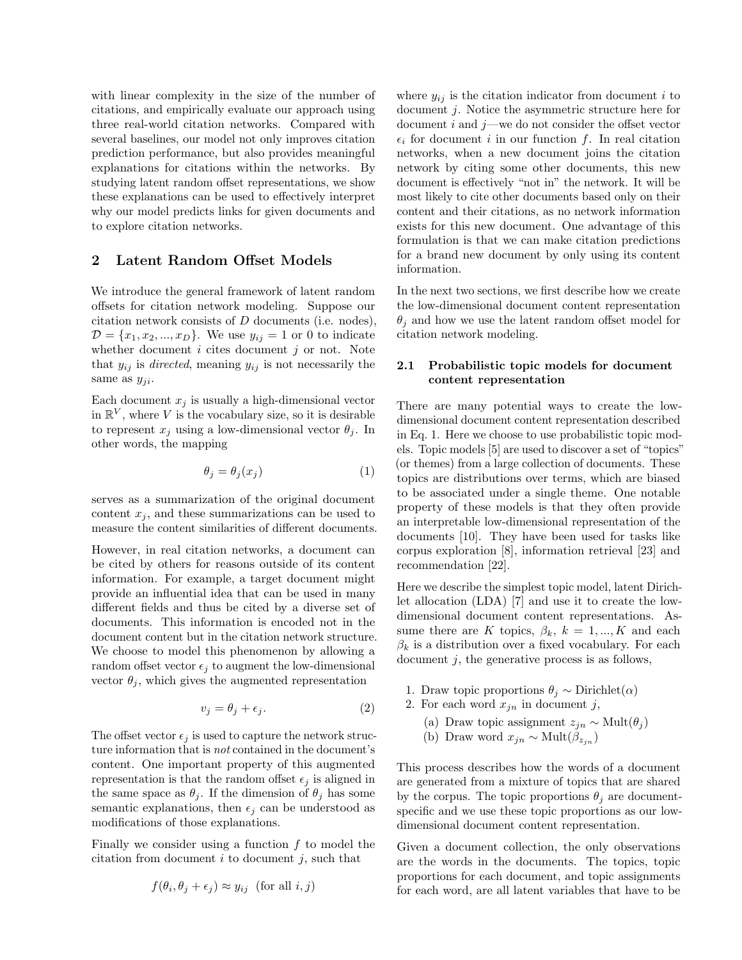with linear complexity in the size of the number of citations, and empirically evaluate our approach using three real-world citation networks. Compared with several baselines, our model not only improves citation prediction performance, but also provides meaningful explanations for citations within the networks. By studying latent random offset representations, we show these explanations can be used to effectively interpret why our model predicts links for given documents and to explore citation networks.

### 2 Latent Random Offset Models

We introduce the general framework of latent random offsets for citation network modeling. Suppose our citation network consists of D documents (i.e. nodes),  $D = \{x_1, x_2, ..., x_D\}$ . We use  $y_{ij} = 1$  or 0 to indicate whether document  $i$  cites document  $j$  or not. Note that  $y_{ij}$  is *directed*, meaning  $y_{ij}$  is not necessarily the same as  $y_{ji}$ .

Each document  $x_i$  is usually a high-dimensional vector in  $\mathbb{R}^V$ , where V is the vocabulary size, so it is desirable to represent  $x_j$  using a low-dimensional vector  $\theta_j$ . In other words, the mapping

$$
\theta_j = \theta_j(x_j) \tag{1}
$$

serves as a summarization of the original document content  $x_i$ , and these summarizations can be used to measure the content similarities of different documents.

However, in real citation networks, a document can be cited by others for reasons outside of its content information. For example, a target document might provide an influential idea that can be used in many different fields and thus be cited by a diverse set of documents. This information is encoded not in the document content but in the citation network structure. We choose to model this phenomenon by allowing a random offset vector  $\epsilon_j$  to augment the low-dimensional vector  $\theta_i$ , which gives the augmented representation

$$
v_j = \theta_j + \epsilon_j. \tag{2}
$$

The offset vector  $\epsilon_i$  is used to capture the network structure information that is not contained in the document's content. One important property of this augmented representation is that the random offset  $\epsilon_j$  is aligned in the same space as  $\theta_j$ . If the dimension of  $\theta_j$  has some semantic explanations, then  $\epsilon_i$  can be understood as modifications of those explanations.

Finally we consider using a function  $f$  to model the citation from document  $i$  to document  $j$ , such that

$$
f(\theta_i, \theta_j + \epsilon_j) \approx y_{ij}
$$
 (for all  $i, j$ )

where  $y_{ij}$  is the citation indicator from document i to document j. Notice the asymmetric structure here for document i and  $j$ —we do not consider the offset vector  $\epsilon_i$  for document i in our function f. In real citation networks, when a new document joins the citation network by citing some other documents, this new document is effectively "not in" the network. It will be most likely to cite other documents based only on their content and their citations, as no network information exists for this new document. One advantage of this formulation is that we can make citation predictions for a brand new document by only using its content information.

In the next two sections, we first describe how we create the low-dimensional document content representation  $\theta_i$  and how we use the latent random offset model for citation network modeling.

### 2.1 Probabilistic topic models for document content representation

There are many potential ways to create the lowdimensional document content representation described in Eq. 1. Here we choose to use probabilistic topic models. Topic models [5] are used to discover a set of "topics" (or themes) from a large collection of documents. These topics are distributions over terms, which are biased to be associated under a single theme. One notable property of these models is that they often provide an interpretable low-dimensional representation of the documents [10]. They have been used for tasks like corpus exploration [8], information retrieval [23] and recommendation [22].

Here we describe the simplest topic model, latent Dirichlet allocation (LDA) [7] and use it to create the lowdimensional document content representations. Assume there are K topics,  $\beta_k$ ,  $k = 1, ..., K$  and each  $\beta_k$  is a distribution over a fixed vocabulary. For each document  $j$ , the generative process is as follows,

- 1. Draw topic proportions  $\theta_i \sim$  Dirichlet $(\alpha)$
- 2. For each word  $x_{jn}$  in document j,
	- (a) Draw topic assignment  $z_{jn} \sim \text{Mult}(\theta_j)$
	- (b) Draw word  $x_{jn} \sim \text{Mult}(\beta_{z_{jn}})$

This process describes how the words of a document are generated from a mixture of topics that are shared by the corpus. The topic proportions  $\theta_i$  are documentspecific and we use these topic proportions as our lowdimensional document content representation.

Given a document collection, the only observations are the words in the documents. The topics, topic proportions for each document, and topic assignments for each word, are all latent variables that have to be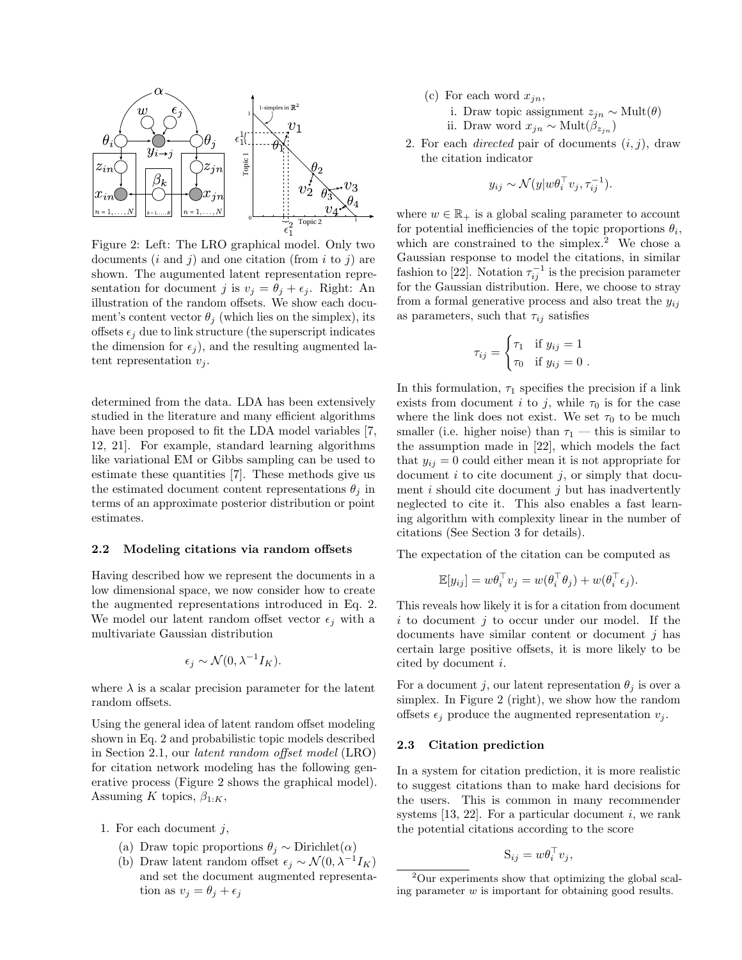

Figure 2: Left: The LRO graphical model. Only two documents  $(i \text{ and } j)$  and one citation (from i to j) are shown. The augumented latent representation representation for document j is  $v_j = \theta_j + \epsilon_j$ . Right: An illustration of the random offsets. We show each document's content vector  $\theta_i$  (which lies on the simplex), its offsets  $\epsilon_i$  due to link structure (the superscript indicates the dimension for  $\epsilon_j$ ), and the resulting augmented latent representation  $v_i$ .

determined from the data. LDA has been extensively studied in the literature and many efficient algorithms have been proposed to fit the LDA model variables [7, 12, 21]. For example, standard learning algorithms like variational EM or Gibbs sampling can be used to estimate these quantities [7]. These methods give us the estimated document content representations  $\theta_j$  in terms of an approximate posterior distribution or point estimates.

#### 2.2 Modeling citations via random offsets

Having described how we represent the documents in a low dimensional space, we now consider how to create the augmented representations introduced in Eq. 2. We model our latent random offset vector  $\epsilon_i$  with a multivariate Gaussian distribution

$$
\epsilon_j \sim \mathcal{N}(0, \lambda^{-1} I_K).
$$

where  $\lambda$  is a scalar precision parameter for the latent random offsets.

Using the general idea of latent random offset modeling shown in Eq. 2 and probabilistic topic models described in Section 2.1, our latent random offset model (LRO) for citation network modeling has the following generative process (Figure 2 shows the graphical model). Assuming K topics,  $\beta_{1:K}$ ,

- 1. For each document  $j$ ,
	- (a) Draw topic proportions  $\theta_j \sim$  Dirichlet $(\alpha)$
	- (b) Draw latent random offset  $\epsilon_j \sim \mathcal{N}(0, \lambda^{-1} I_K)$ and set the document augmented representation as  $v_j = \theta_j + \epsilon_j$
- (c) For each word  $x_{in}$ ,
	- i. Draw topic assignment  $z_{jn} \sim \text{Mult}(\theta)$

ii. Draw word  $x_{jn}$  ∼ Mult $(\beta_{z_{jn}})$ 

2. For each *directed* pair of documents  $(i, j)$ , draw the citation indicator

$$
y_{ij} \sim \mathcal{N}(y|w\theta_i^{\top} v_j, \tau_{ij}^{-1}).
$$

where  $w \in \mathbb{R}_+$  is a global scaling parameter to account for potential inefficiencies of the topic proportions  $\theta_i$ , which are constrained to the simplex.<sup>2</sup> We chose a Gaussian response to model the citations, in similar fashion to [22]. Notation  $\tau_{ij}^{-1}$  is the precision parameter for the Gaussian distribution. Here, we choose to stray from a formal generative process and also treat the  $y_{ij}$ as parameters, such that  $\tau_{ij}$  satisfies

$$
\tau_{ij} = \begin{cases} \tau_1 & \text{if } y_{ij} = 1 \\ \tau_0 & \text{if } y_{ij} = 0 \end{cases}.
$$

In this formulation,  $\tau_1$  specifies the precision if a link exists from document i to j, while  $\tau_0$  is for the case where the link does not exist. We set  $\tau_0$  to be much smaller (i.e. higher noise) than  $\tau_1$  — this is similar to the assumption made in [22], which models the fact that  $y_{ij} = 0$  could either mean it is not appropriate for document  $i$  to cite document  $j$ , or simply that document  $i$  should cite document  $j$  but has inadvertently neglected to cite it. This also enables a fast learning algorithm with complexity linear in the number of citations (See Section 3 for details).

The expectation of the citation can be computed as

$$
\mathbb{E}[y_{ij}] = w\theta_i^{\top} v_j = w(\theta_i^{\top}\theta_j) + w(\theta_i^{\top}\epsilon_j).
$$

This reveals how likely it is for a citation from document  $i$  to document  $j$  to occur under our model. If the documents have similar content or document  $j$  has certain large positive offsets, it is more likely to be cited by document i.

For a document j, our latent representation  $\theta_j$  is over a simplex. In Figure 2 (right), we show how the random offsets  $\epsilon_i$  produce the augmented representation  $v_i$ .

#### 2.3 Citation prediction

In a system for citation prediction, it is more realistic to suggest citations than to make hard decisions for the users. This is common in many recommender systems  $[13, 22]$ . For a particular document i, we rank the potential citations according to the score

$$
S_{ij} = w\theta_i^{\top} v_j,
$$

<sup>2</sup>Our experiments show that optimizing the global scaling parameter w is important for obtaining good results.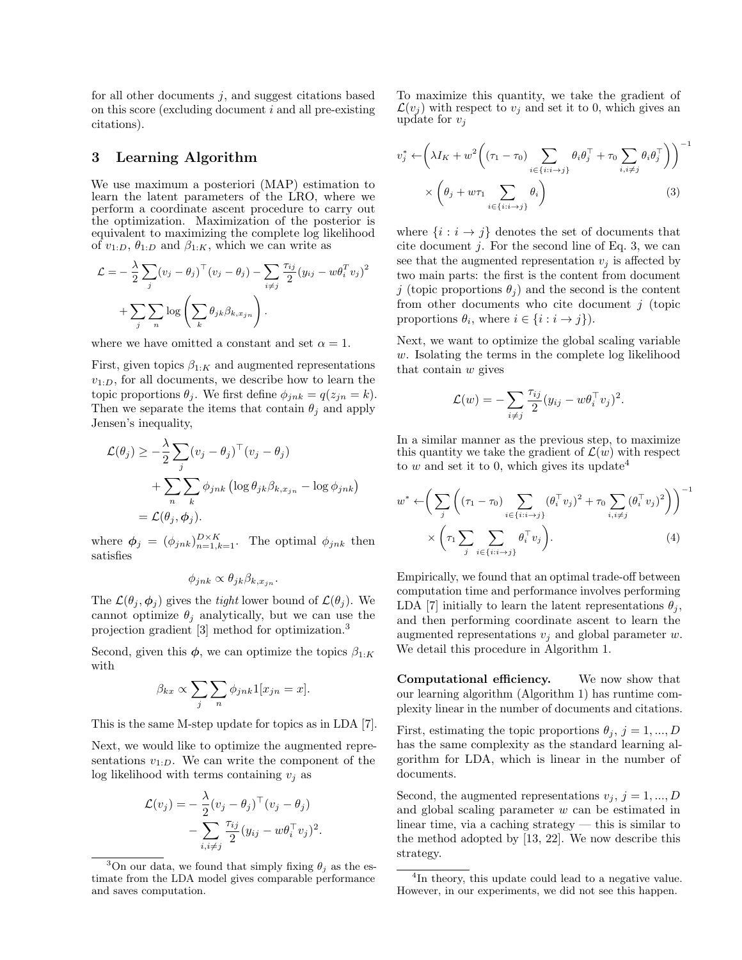for all other documents  $i$ , and suggest citations based on this score (excluding document  $i$  and all pre-existing citations).

### 3 Learning Algorithm

We use maximum a posteriori (MAP) estimation to learn the latent parameters of the LRO, where we perform a coordinate ascent procedure to carry out the optimization. Maximization of the posterior is equivalent to maximizing the complete log likelihood of  $v_{1:D}$ ,  $\theta_{1:D}$  and  $\beta_{1:K}$ , which we can write as

$$
\mathcal{L} = -\frac{\lambda}{2} \sum_{j} (v_j - \theta_j)^{\top} (v_j - \theta_j) - \sum_{i \neq j} \frac{\tau_{ij}}{2} (y_{ij} - w\theta_i^T v_j)^2
$$

$$
+ \sum_{j} \sum_{n} \log \left( \sum_{k} \theta_{jk} \beta_{k, x_{jn}} \right).
$$

where we have omitted a constant and set  $\alpha = 1$ .

First, given topics  $\beta_{1:K}$  and augmented representations  $v_{1:D}$ , for all documents, we describe how to learn the topic proportions  $\theta_j$ . We first define  $\phi_{jnk} = q(z_{jn} = k)$ . Then we separate the items that contain  $\theta_i$  and apply Jensen's inequality,

$$
\mathcal{L}(\theta_j) \geq -\frac{\lambda}{2} \sum_j (v_j - \theta_j)^\top (v_j - \theta_j)
$$
  
+ 
$$
\sum_n \sum_k \phi_{jnk} (\log \theta_{jk} \beta_{k, x_{jn}} - \log \phi_{jnk})
$$
  
= 
$$
\mathcal{L}(\theta_j, \phi_j).
$$

where  $\phi_j = (\phi_{jnk})_{n=1,k=1}^{D \times K}$ . The optimal  $\phi_{jnk}$  then satisfies

$$
\phi_{jnk} \propto \theta_{jk}\beta_{k,x_{jn}}.
$$

The  $\mathcal{L}(\theta_i, \phi_i)$  gives the *tight* lower bound of  $\mathcal{L}(\theta_i)$ . We cannot optimize  $\theta_j$  analytically, but we can use the projection gradient [3] method for optimization.<sup>3</sup>

Second, given this  $\phi$ , we can optimize the topics  $\beta_{1:K}$ with

$$
\beta_{kx} \propto \sum_{j} \sum_{n} \phi_{jnk} 1[x_{jn} = x].
$$

This is the same M-step update for topics as in LDA [7].

Next, we would like to optimize the augmented representations  $v_{1:D}$ . We can write the component of the log likelihood with terms containing  $v_i$  as

$$
\mathcal{L}(v_j) = -\frac{\lambda}{2} (v_j - \theta_j)^\top (v_j - \theta_j)
$$

$$
-\sum_{i,i\neq j} \frac{\tau_{ij}}{2} (y_{ij} - w\theta_i^\top v_j)^2.
$$

<sup>3</sup>On our data, we found that simply fixing  $\theta_i$  as the estimate from the LDA model gives comparable performance and saves computation.

To maximize this quantity, we take the gradient of  $\mathcal{L}(v_i)$  with respect to  $v_i$  and set it to 0, which gives an update for  $v_j$ 

$$
v_j^* \leftarrow \left(\lambda I_K + w^2 \left((\tau_1 - \tau_0) \sum_{i \in \{i : i \to j\}} \theta_i \theta_j^\top + \tau_0 \sum_{i, i \neq j} \theta_i \theta_j^\top \right) \right)^{-1} \times \left(\theta_j + w \tau_1 \sum_{i \in \{i : i \to j\}} \theta_i \right)
$$
\n(3)

where  $\{i : i \rightarrow j\}$  denotes the set of documents that cite document  $j$ . For the second line of Eq. 3, we can see that the augmented representation  $v_i$  is affected by two main parts: the first is the content from document j (topic proportions  $\theta_i$ ) and the second is the content from other documents who cite document  $j$  (topic proportions  $\theta_i$ , where  $i \in \{i : i \rightarrow j\}$ .

Next, we want to optimize the global scaling variable w. Isolating the terms in the complete log likelihood that contain w gives

$$
\mathcal{L}(w) = -\sum_{i \neq j} \frac{\tau_{ij}}{2} (y_{ij} - w\theta_i^{\top} v_j)^2.
$$

In a similar manner as the previous step, to maximize this quantity we take the gradient of  $\mathcal{L}(w)$  with respect to w and set it to 0, which gives its update<sup>4</sup>

$$
w^* \leftarrow \left(\sum_j \left((\tau_1 - \tau_0) \sum_{i \in \{i:i \to j\}} (\theta_i^{\top} v_j)^2 + \tau_0 \sum_{i,i \neq j} (\theta_i^{\top} v_j)^2\right)\right)^{-1} \times \left(\tau_1 \sum_j \sum_{i \in \{i:i \to j\}} \theta_i^{\top} v_j\right).
$$
\n(4)

Empirically, we found that an optimal trade-off between computation time and performance involves performing LDA [7] initially to learn the latent representations  $\theta_i$ , and then performing coordinate ascent to learn the augmented representations  $v_i$  and global parameter w. We detail this procedure in Algorithm 1.

Computational efficiency. We now show that our learning algorithm (Algorithm 1) has runtime complexity linear in the number of documents and citations.

First, estimating the topic proportions  $\theta_j$ ,  $j = 1, ..., D$ has the same complexity as the standard learning algorithm for LDA, which is linear in the number of documents.

Second, the augmented representations  $v_j$ ,  $j = 1, ..., D$ and global scaling parameter w can be estimated in linear time, via a caching strategy — this is similar to the method adopted by [13, 22]. We now describe this strategy.

<sup>&</sup>lt;sup>4</sup>In theory, this update could lead to a negative value. However, in our experiments, we did not see this happen.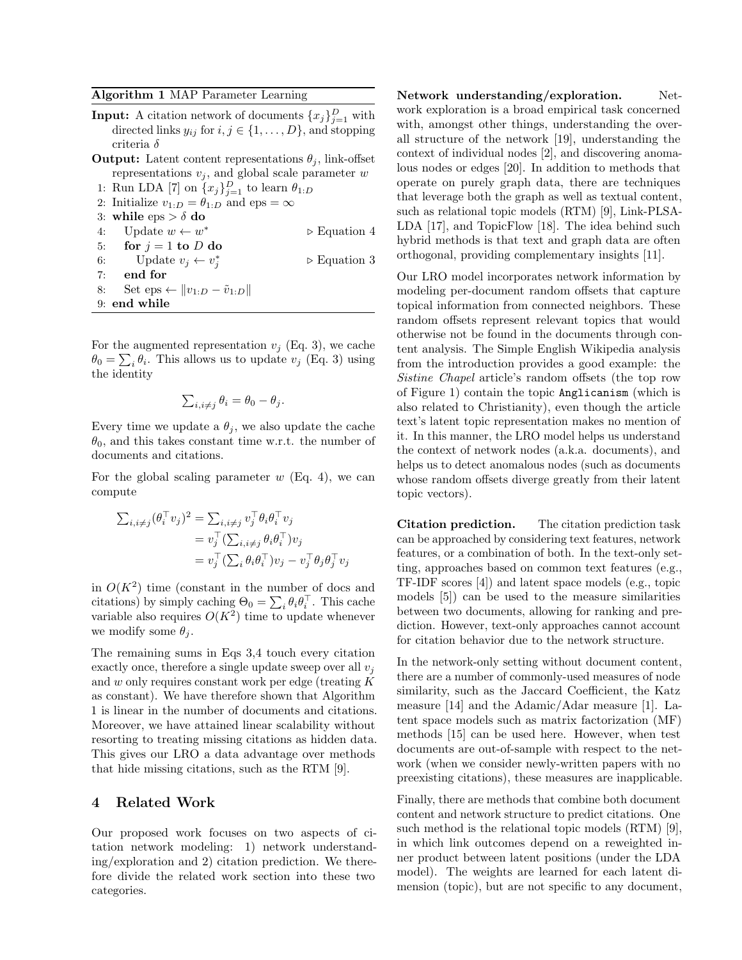Algorithm 1 MAP Parameter Learning

- **Input:** A citation network of documents  $\{x_j\}_{j=1}^D$  with directed links  $y_{ij}$  for  $i, j \in \{1, \ldots, D\}$ , and stopping criteria δ **Output:** Latent content representations  $\theta_i$ , link-offset representations  $v_j$ , and global scale parameter  $w$
- 1: Run LDA [7] on  $\{x_j\}_{j=1}^D$  to learn  $\theta_{1:D}$ 2: Initialize  $v_{1:D} = \theta_{1:D}$  and eps =  $\infty$ 3: while  $eps > \delta$  do 4: Update  $w \leftarrow w^*$ <sup>∗</sup> . Equation 4 5: for  $j = 1$  to  $D$  do 6: Update  $v_j \leftarrow v_j^*$  $\triangleright$  Equation 3 7: end for 8: Set eps ←  $||v_{1:D} - \tilde{v}_{1:D}||$ 9: end while

For the augmented representation  $v_j$  (Eq. 3), we cache  $\theta_0 = \sum_i \theta_i$ . This allows us to update  $v_j$  (Eq. 3) using the identity

$$
\sum_{i,i\neq j}\theta_i=\theta_0-\theta_j.
$$

Every time we update a  $\theta_i$ , we also update the cache  $\theta_0$ , and this takes constant time w.r.t. the number of documents and citations.

For the global scaling parameter  $w$  (Eq. 4), we can compute

$$
\begin{aligned} \sum_{i,i\neq j} (\theta_i^\top v_j)^2 &= \sum_{i,i\neq j} v_j^\top \theta_i \theta_i^\top v_j \\ &= v_j^\top (\sum_{i,i\neq j} \theta_i \theta_i^\top) v_j \\ &= v_j^\top (\sum_i \theta_i \theta_i^\top) v_j - v_j^\top \theta_j \theta_j^\top v_j \end{aligned}
$$

in  $O(K^2)$  time (constant in the number of docs and citations) by simply caching  $\Theta_0 = \sum_i \theta_i \theta_i^{\top}$ . This cache variable also requires  $O(K^2)$  time to update whenever we modify some  $\theta_i$ .

The remaining sums in Eqs 3,4 touch every citation exactly once, therefore a single update sweep over all  $v_i$ and w only requires constant work per edge (treating K as constant). We have therefore shown that Algorithm 1 is linear in the number of documents and citations. Moreover, we have attained linear scalability without resorting to treating missing citations as hidden data. This gives our LRO a data advantage over methods that hide missing citations, such as the RTM [9].

## 4 Related Work

Our proposed work focuses on two aspects of citation network modeling: 1) network understanding/exploration and 2) citation prediction. We therefore divide the related work section into these two categories.

Network understanding/exploration. Network exploration is a broad empirical task concerned with, amongst other things, understanding the overall structure of the network [19], understanding the context of individual nodes [2], and discovering anomalous nodes or edges [20]. In addition to methods that operate on purely graph data, there are techniques that leverage both the graph as well as textual content, such as relational topic models (RTM) [9], Link-PLSA-LDA [17], and TopicFlow [18]. The idea behind such hybrid methods is that text and graph data are often orthogonal, providing complementary insights [11].

Our LRO model incorporates network information by modeling per-document random offsets that capture topical information from connected neighbors. These random offsets represent relevant topics that would otherwise not be found in the documents through content analysis. The Simple English Wikipedia analysis from the introduction provides a good example: the Sistine Chapel article's random offsets (the top row of Figure 1) contain the topic Anglicanism (which is also related to Christianity), even though the article text's latent topic representation makes no mention of it. In this manner, the LRO model helps us understand the context of network nodes (a.k.a. documents), and helps us to detect anomalous nodes (such as documents whose random offsets diverge greatly from their latent topic vectors).

Citation prediction. The citation prediction task can be approached by considering text features, network features, or a combination of both. In the text-only setting, approaches based on common text features (e.g., TF-IDF scores [4]) and latent space models (e.g., topic models [5]) can be used to the measure similarities between two documents, allowing for ranking and prediction. However, text-only approaches cannot account for citation behavior due to the network structure.

In the network-only setting without document content, there are a number of commonly-used measures of node similarity, such as the Jaccard Coefficient, the Katz measure [14] and the Adamic/Adar measure [1]. Latent space models such as matrix factorization (MF) methods [15] can be used here. However, when test documents are out-of-sample with respect to the network (when we consider newly-written papers with no preexisting citations), these measures are inapplicable.

Finally, there are methods that combine both document content and network structure to predict citations. One such method is the relational topic models (RTM) [9], in which link outcomes depend on a reweighted inner product between latent positions (under the LDA model). The weights are learned for each latent dimension (topic), but are not specific to any document,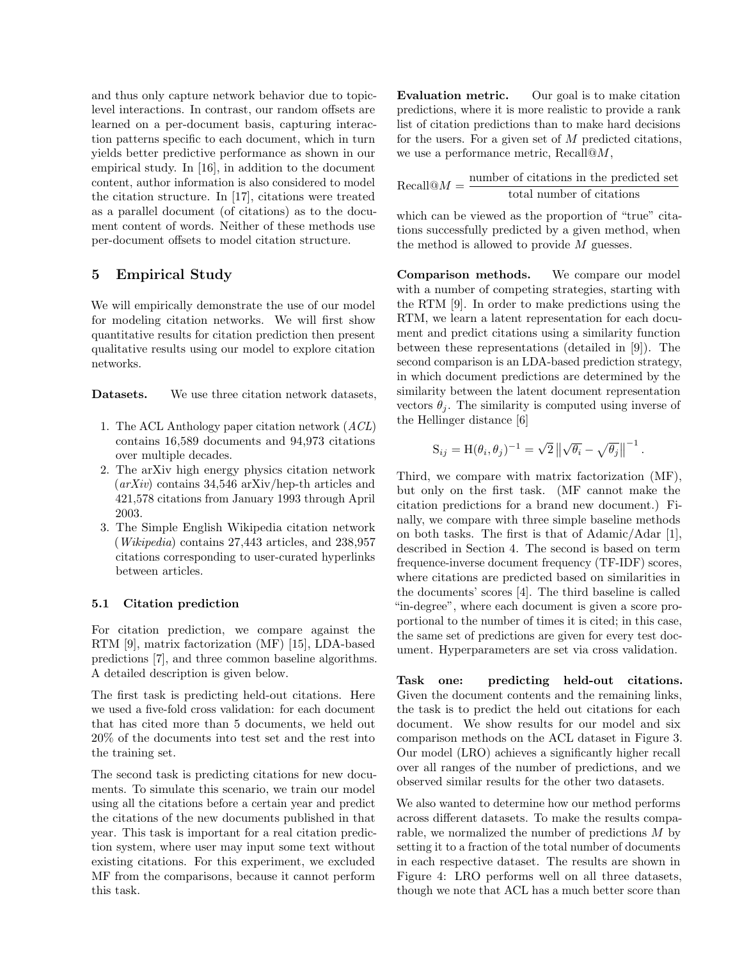and thus only capture network behavior due to topiclevel interactions. In contrast, our random offsets are learned on a per-document basis, capturing interaction patterns specific to each document, which in turn yields better predictive performance as shown in our empirical study. In [16], in addition to the document content, author information is also considered to model the citation structure. In [17], citations were treated as a parallel document (of citations) as to the document content of words. Neither of these methods use per-document offsets to model citation structure.

# 5 Empirical Study

We will empirically demonstrate the use of our model for modeling citation networks. We will first show quantitative results for citation prediction then present qualitative results using our model to explore citation networks.

Datasets. We use three citation network datasets,

- 1. The ACL Anthology paper citation network  $(ACL)$ contains 16,589 documents and 94,973 citations over multiple decades.
- 2. The arXiv high energy physics citation network  $\left(\frac{arXiv}{} \right)$  contains 34,546 arXiv/hep-th articles and 421,578 citations from January 1993 through April 2003.
- 3. The Simple English Wikipedia citation network (Wikipedia) contains 27,443 articles, and 238,957 citations corresponding to user-curated hyperlinks between articles.

#### 5.1 Citation prediction

For citation prediction, we compare against the RTM [9], matrix factorization (MF) [15], LDA-based predictions [7], and three common baseline algorithms. A detailed description is given below.

The first task is predicting held-out citations. Here we used a five-fold cross validation: for each document that has cited more than 5 documents, we held out 20% of the documents into test set and the rest into the training set.

The second task is predicting citations for new documents. To simulate this scenario, we train our model using all the citations before a certain year and predict the citations of the new documents published in that year. This task is important for a real citation prediction system, where user may input some text without existing citations. For this experiment, we excluded MF from the comparisons, because it cannot perform this task.

Evaluation metric. Our goal is to make citation predictions, where it is more realistic to provide a rank list of citation predictions than to make hard decisions for the users. For a given set of  $M$  predicted citations, we use a performance metric, Recall@M,

 $Recall@M = \frac{\text{number of citations in the predicted set}}{1 - \frac{1}{2}}$ total number of citations

which can be viewed as the proportion of "true" citations successfully predicted by a given method, when the method is allowed to provide  $M$  guesses.

Comparison methods. We compare our model with a number of competing strategies, starting with the RTM [9]. In order to make predictions using the RTM, we learn a latent representation for each document and predict citations using a similarity function between these representations (detailed in [9]). The second comparison is an LDA-based prediction strategy, in which document predictions are determined by the similarity between the latent document representation vectors  $\theta_i$ . The similarity is computed using inverse of the Hellinger distance [6]

$$
S_{ij} = H(\theta_i, \theta_j)^{-1} = \sqrt{2} \left\| \sqrt{\theta_i} - \sqrt{\theta_j} \right\|^{-1}.
$$

Third, we compare with matrix factorization (MF), but only on the first task. (MF cannot make the citation predictions for a brand new document.) Finally, we compare with three simple baseline methods on both tasks. The first is that of Adamic/Adar [1], described in Section 4. The second is based on term frequence-inverse document frequency (TF-IDF) scores, where citations are predicted based on similarities in the documents' scores [4]. The third baseline is called "in-degree", where each document is given a score proportional to the number of times it is cited; in this case, the same set of predictions are given for every test document. Hyperparameters are set via cross validation.

Task one: predicting held-out citations. Given the document contents and the remaining links, the task is to predict the held out citations for each document. We show results for our model and six comparison methods on the ACL dataset in Figure 3. Our model (LRO) achieves a significantly higher recall over all ranges of the number of predictions, and we observed similar results for the other two datasets.

We also wanted to determine how our method performs across different datasets. To make the results comparable, we normalized the number of predictions  $M$  by setting it to a fraction of the total number of documents in each respective dataset. The results are shown in Figure 4: LRO performs well on all three datasets, though we note that ACL has a much better score than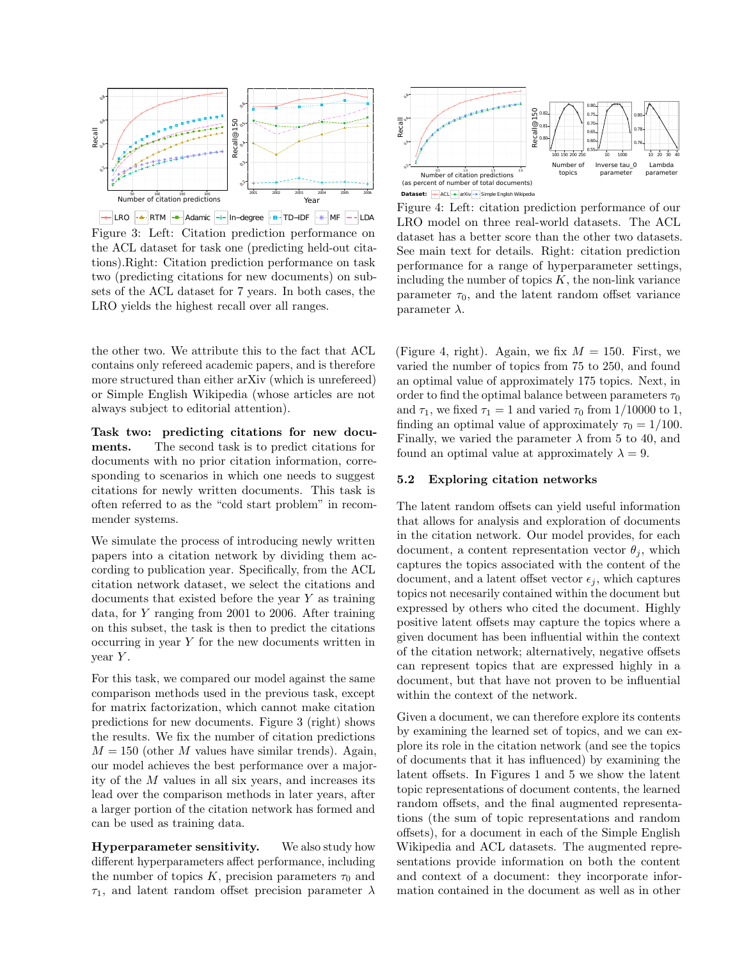

 $\begin{array}{|c|c|c|c|c|c|}\hline \multimap & \multicolumn{3}{|c|}{\text{LRO}} & \multicolumn{3}{|c|}{\text{ATM}} & \multicolumn{3}{|c|}{\text{--}d} \\\hline \multicolumn{3}{|c|}{\text{LRO}} & \multicolumn{3}{|c|}{\text{ATM}} & \multicolumn{3}{|c|}{\text{--}d} \\\hline \multicolumn{3}{|c|}{\text{LRO}} & \multicolumn{3}{|c|}{\text{ATM}} & \multicolumn{3}{|c|}{\text{--}d} \\\hline \multicolumn{3}{|c|}{\text{In}-d} \\\h$ Figure 3: Left: Citation prediction performance on the ACL dataset for task one (predicting held-out citations).Right: Citation prediction performance on task two (predicting citations for new documents) on subsets of the ACL dataset for 7 years. In both cases, the LRO yields the highest recall over all ranges.

the other two. We attribute this to the fact that ACL contains only refereed academic papers, and is therefore more structured than either arXiv (which is unrefereed) or Simple English Wikipedia (whose articles are not always subject to editorial attention).

Task two: predicting citations for new documents. The second task is to predict citations for documents with no prior citation information, corresponding to scenarios in which one needs to suggest citations for newly written documents. This task is often referred to as the "cold start problem" in recommender systems.

We simulate the process of introducing newly written papers into a citation network by dividing them according to publication year. Specifically, from the ACL citation network dataset, we select the citations and documents that existed before the year Y as training data, for Y ranging from 2001 to 2006. After training on this subset, the task is then to predict the citations occurring in year Y for the new documents written in  $year Y.$ 

For this task, we compared our model against the same comparison methods used in the previous task, except for matrix factorization, which cannot make citation predictions for new documents. Figure 3 (right) shows the results. We fix the number of citation predictions  $M = 150$  (other M values have similar trends). Again, our model achieves the best performance over a majority of the M values in all six years, and increases its lead over the comparison methods in later years, after a larger portion of the citation network has formed and can be used as training data.

Hyperparameter sensitivity. We also study how different hyperparameters affect performance, including the number of topics K, precision parameters  $\tau_0$  and  $\tau_1,$  and latent random offset precision parameter  $\lambda$ 



Figure 4: Left: citation prediction performance of our LRO model on three real-world datasets. The ACL dataset has a better score than the other two datasets. See main text for details. Right: citation prediction performance for a range of hyperparameter settings, including the number of topics  $K$ , the non-link variance parameter  $\tau_0$ , and the latent random offset variance parameter  $\lambda$ .

(Figure 4, right). Again, we fix  $M = 150$ . First, we varied the number of topics from 75 to 250, and found an optimal value of approximately 175 topics. Next, in order to find the optimal balance between parameters  $\tau_0$ and  $\tau_1$ , we fixed  $\tau_1 = 1$  and varied  $\tau_0$  from 1/10000 to 1, finding an optimal value of approximately  $\tau_0 = 1/100$ . Finally, we varied the parameter  $\lambda$  from 5 to 40, and found an optimal value at approximately  $\lambda = 9$ .

#### 5.2 Exploring citation networks

The latent random offsets can yield useful information that allows for analysis and exploration of documents in the citation network. Our model provides, for each document, a content representation vector  $\theta_i$ , which captures the topics associated with the content of the document, and a latent offset vector  $\epsilon_i$ , which captures topics not necesarily contained within the document but expressed by others who cited the document. Highly positive latent offsets may capture the topics where a given document has been influential within the context of the citation network; alternatively, negative offsets can represent topics that are expressed highly in a document, but that have not proven to be influential within the context of the network.

Given a document, we can therefore explore its contents by examining the learned set of topics, and we can explore its role in the citation network (and see the topics of documents that it has influenced) by examining the latent offsets. In Figures 1 and 5 we show the latent topic representations of document contents, the learned random offsets, and the final augmented representations (the sum of topic representations and random offsets), for a document in each of the Simple English Wikipedia and ACL datasets. The augmented representations provide information on both the content and context of a document: they incorporate information contained in the document as well as in other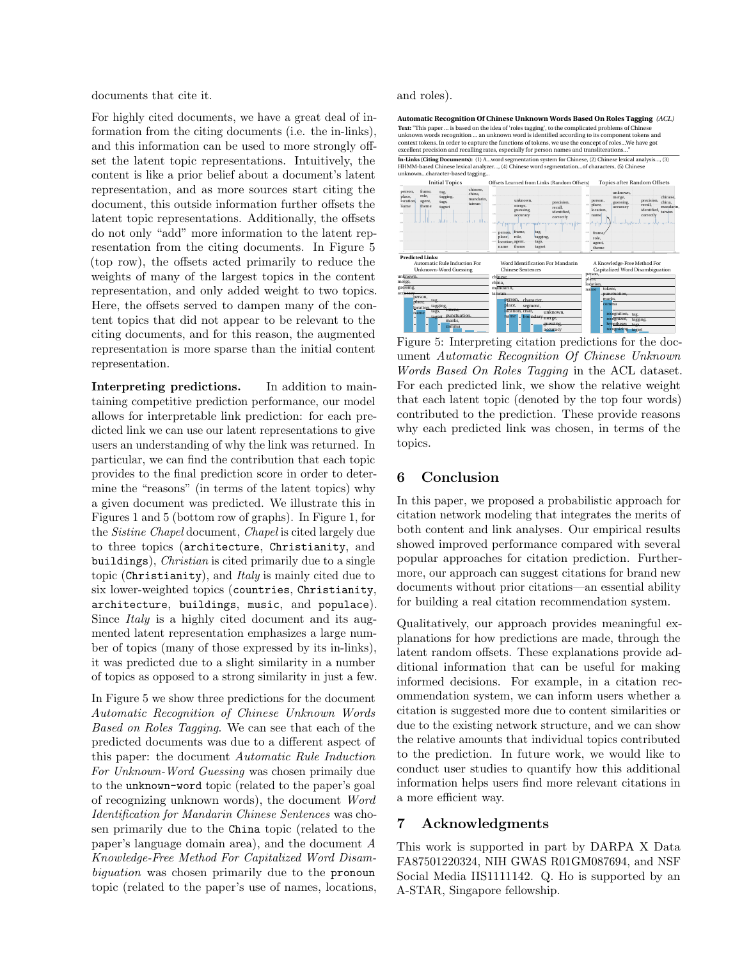documents that cite it.

For highly cited documents, we have a great deal of information from the citing documents (i.e. the in-links), and this information can be used to more strongly offset the latent topic representations. Intuitively, the content is like a prior belief about a document's latent representation, and as more sources start citing the document, this outside information further offsets the latent topic representations. Additionally, the offsets do not only "add" more information to the latent representation from the citing documents. In Figure 5 (top row), the offsets acted primarily to reduce the weights of many of the largest topics in the content representation, and only added weight to two topics. Here, the offsets served to dampen many of the content topics that did not appear to be relevant to the citing documents, and for this reason, the augmented representation is more sparse than the initial content representation.

Interpreting predictions. In addition to maintaining competitive prediction performance, our model allows for interpretable link prediction: for each predicted link we can use our latent representations to give users an understanding of why the link was returned. In particular, we can find the contribution that each topic provides to the final prediction score in order to determine the "reasons" (in terms of the latent topics) why a given document was predicted. We illustrate this in Figures 1 and 5 (bottom row of graphs). In Figure 1, for the Sistine Chapel document, Chapel is cited largely due to three topics (architecture, Christianity, and buildings), Christian is cited primarily due to a single topic (Christianity), and Italy is mainly cited due to six lower-weighted topics (countries, Christianity, architecture, buildings, music, and populace). Since *Italy* is a highly cited document and its augmented latent representation emphasizes a large number of topics (many of those expressed by its in-links), it was predicted due to a slight similarity in a number of topics as opposed to a strong similarity in just a few.

In Figure 5 we show three predictions for the document Automatic Recognition of Chinese Unknown Words Based on Roles Tagging. We can see that each of the predicted documents was due to a different aspect of this paper: the document Automatic Rule Induction For Unknown-Word Guessing was chosen primaily due to the unknown-word topic (related to the paper's goal of recognizing unknown words), the document Word Identification for Mandarin Chinese Sentences was chosen primarily due to the China topic (related to the paper's language domain area), and the document A Knowledge-Free Method For Capitalized Word Disambiguation was chosen primarily due to the pronoun topic (related to the paper's use of names, locations, and roles).

Text: "This paper ... is based on the idea of 'roles tagging', to the complicated problems of Chinese unknown words recognition ... an unknown word is identified according to its component tokens and context tokens. In order to capture the functions of tokens, we use the concept of roles...We have got excellent precision and recalling rates, especially for person names and transliterations..." Automatic Recognition Of Chinese Unknown Words Based On Roles Tagging (ACL) In-Links (Citing Documents): (1) A...word segmentation system for Chinese, (2) Chinese lexical analysis..., (3) HHMM-based Chinese lexical analyzer..., (4) Chinese word segmentation...of characters, (5) Chinese unknown...character-based tagging...



Figure 5: Interpreting citation predictions for the document Automatic Recognition Of Chinese Unknown Words Based On Roles Tagging in the ACL dataset. For each predicted link, we show the relative weight that each latent topic (denoted by the top four words) contributed to the prediction. These provide reasons why each predicted link was chosen, in terms of the topics.

# 6 Conclusion

In this paper, we proposed a probabilistic approach for citation network modeling that integrates the merits of both content and link analyses. Our empirical results showed improved performance compared with several popular approaches for citation prediction. Furthermore, our approach can suggest citations for brand new documents without prior citations—an essential ability for building a real citation recommendation system.

Qualitatively, our approach provides meaningful explanations for how predictions are made, through the latent random offsets. These explanations provide additional information that can be useful for making informed decisions. For example, in a citation recommendation system, we can inform users whether a citation is suggested more due to content similarities or due to the existing network structure, and we can show the relative amounts that individual topics contributed to the prediction. In future work, we would like to conduct user studies to quantify how this additional information helps users find more relevant citations in a more efficient way.

# 7 Acknowledgments

This work is supported in part by DARPA X Data FA87501220324, NIH GWAS R01GM087694, and NSF Social Media IIS1111142. Q. Ho is supported by an A-STAR, Singapore fellowship.